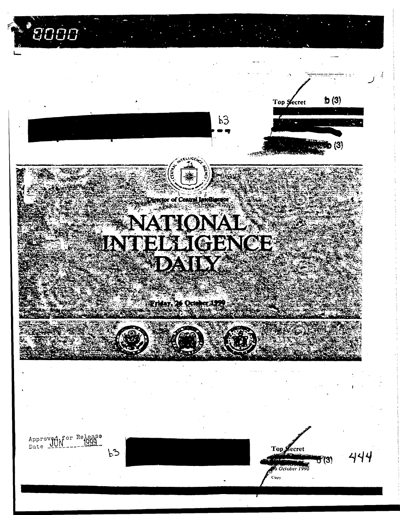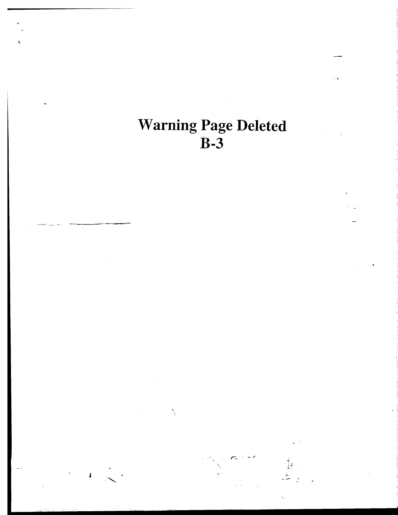**Warning Page Deleted**  $\overline{B-3}$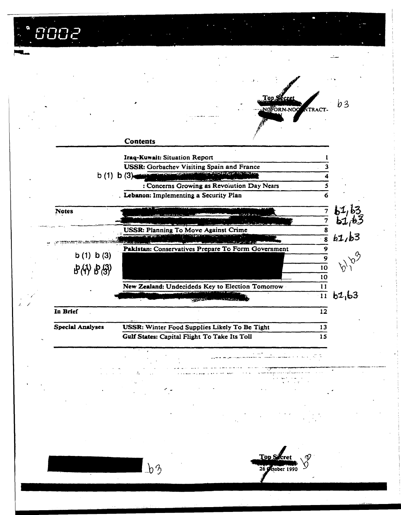|        | '002                                                                              |                 |                                                            |                          |                         |        |
|--------|-----------------------------------------------------------------------------------|-----------------|------------------------------------------------------------|--------------------------|-------------------------|--------|
|        |                                                                                   |                 |                                                            |                          |                         |        |
|        |                                                                                   |                 |                                                            |                          |                         |        |
|        |                                                                                   |                 |                                                            | Top Secre<br>NOFORN-NOC  | <b>NTRACT</b>           | b3     |
|        |                                                                                   |                 |                                                            |                          |                         |        |
|        |                                                                                   | <b>Contents</b> |                                                            |                          |                         |        |
|        | <b>Iraq-Kuwait: Situation Report</b><br>USSR: Gorbachev Visiting Spain and France |                 |                                                            |                          |                         |        |
|        | b(1)                                                                              | b(3)            | <b>Some of the ECO is a life in South of</b><br>فالأقادرين |                          |                         |        |
|        |                                                                                   |                 | : Concerns Growing as Revolution Day Nears                 |                          |                         |        |
|        |                                                                                   |                 | Lebanon: Implementing a Security Plan                      |                          | 6                       |        |
|        | <b>Notes</b>                                                                      |                 |                                                            |                          | 7                       |        |
|        |                                                                                   |                 | <b>USSR: Planning To Move Against Crime</b>                |                          | 7<br>8                  |        |
|        |                                                                                   |                 |                                                            |                          | $\overline{\mathbf{8}}$ | b1/b3  |
|        | b(1) b(3)                                                                         |                 | Pakistan: Conservatives Prepare To Form Government         |                          | 9                       |        |
|        | B(4) B(3)                                                                         |                 |                                                            |                          | $\overline{9}$<br>10    |        |
|        |                                                                                   |                 |                                                            |                          | 10                      |        |
|        |                                                                                   |                 | New Zealand: Undecideds Key to Election Tomorrow           |                          | 11<br>$\overline{11}$   | b1, b3 |
| 1. = 1 | In Brief                                                                          |                 |                                                            |                          | 12                      |        |
|        | <b>Special Analyses</b>                                                           |                 | USSR: Winter Food Supplies Likely To Be Tight              |                          | 13                      |        |
|        |                                                                                   |                 | Gulf States: Capital Flight To Take Its Toll               |                          | 15                      |        |
|        |                                                                                   |                 |                                                            |                          |                         |        |
|        |                                                                                   |                 |                                                            |                          |                         |        |
|        |                                                                                   |                 |                                                            |                          |                         |        |
|        |                                                                                   |                 |                                                            |                          |                         |        |
|        |                                                                                   |                 |                                                            |                          |                         |        |
|        |                                                                                   | $\Delta$        |                                                            | Top S<br>26 Sctober 1990 |                         |        |

医皮质

 $\frac{1}{2} \frac{1}{2} \frac{1}{2} \frac{1}{2} \frac{1}{2} \frac{1}{2} \frac{1}{2} \frac{1}{2}$ 

 $\frac{1}{2}$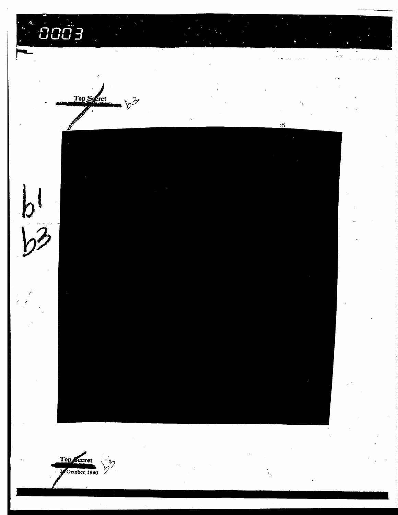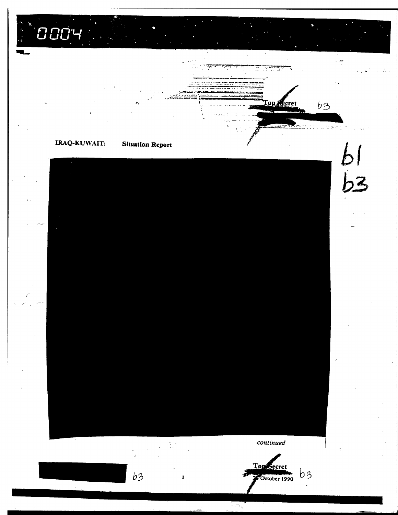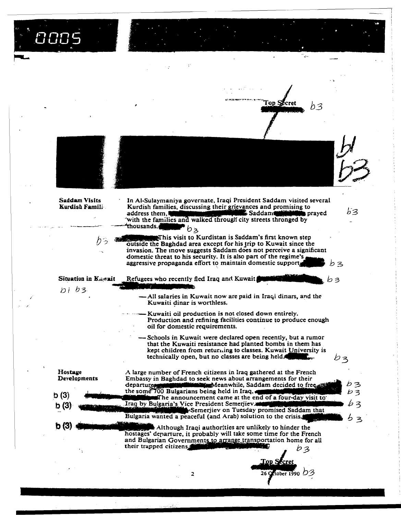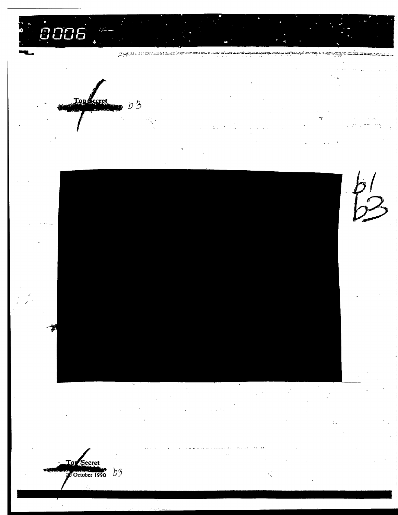0006

Tops ,<br>ecret  $b3$ 

**CHEIN** 

iegen municus a nuoriulinus ja kokkuningaa esimpine pilipingi iusi mipa, sai

≍ಸಮಹಾಸದ

نا، تنافا

To Secret Correcte 1990  $b3$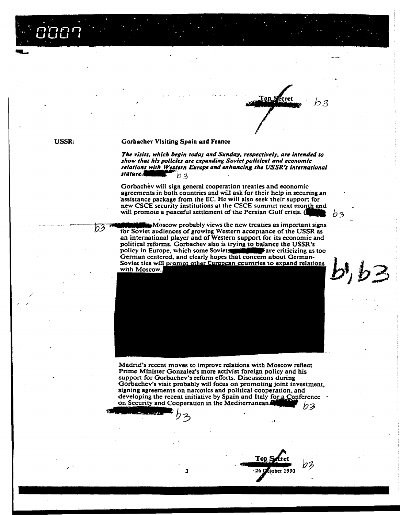**USSR:** 

63

#### **Gorbachev Visiting Spain and France**

The visits, which begin today and Sunday, respectively, are intended to show that his policies are expanding Soviet political and economic relations with Western Europe and enhancing the USSR's international stature.  $b3$ 

Top Secret

b3

n z

Gorbachev will sign general cooperation treaties and economic agreements in both countries and will ask for their help in securing an assistance package from the EC. He will also seek their support for new CSCE security institutions at the CSCE summit next month and will promote a peaceful settlement of the Persian Gulf crisis. (

 $\mathbf{M}$   $\alpha$ scow probably views the new treaties as important signs for Soviet audiences of growing Western acceptance of the USSR as an international player and of Western support for its economic and political reforms. Gorbachev also is trying to balance the USSR's policy in Europe, which some Soviets Fare criticizing as too German centered, and clearly hopes that concern about German-Soviet ties will prompt other European countries to expand relations  $b, b3$ with Moscow.



Madrid's recent moves to improve relations with Moscow reflect Prime Minister Gonzalez's more activist foreign policy and his support for Gorbachev's reform efforts. Discussions during Gorbachev's visit probably will focus on promoting joint investment, signing agreements on narcotics and political cooperation, and developing the recent initiative by Spain and Italy for a Conference on Security and Cooperation in the Mediterranean. b3

Top S

26 QEtober 1990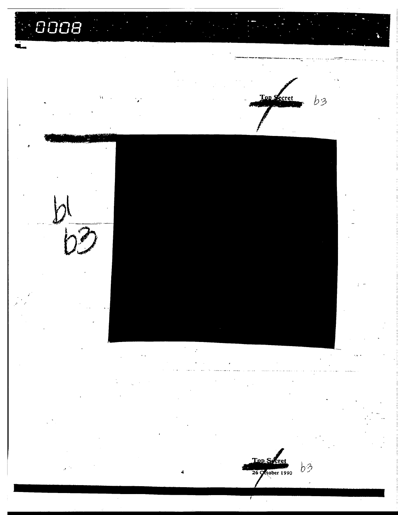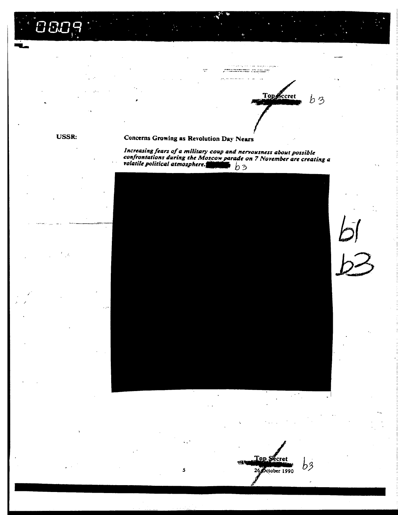$\overline{1}$  and  $\overline{1}$ Topsccret

 $\begin{picture}(15,10) \put(0,0){\vector(1,0){30}} \put(0,0){\vector(1,0){30}} \put(0,0){\vector(1,0){30}} \put(0,0){\vector(1,0){30}} \put(0,0){\vector(1,0){30}} \put(0,0){\vector(1,0){30}} \put(0,0){\vector(1,0){30}} \put(0,0){\vector(1,0){30}} \put(0,0){\vector(1,0){30}} \put(0,0){\vector(1,0){30}} \put(0,0){\vector(1,0){30}} \put(0,0){\vector(1,0){30}} \put(0,$ 

 $b3$ 

#### **USSR:**

#### Concerns Growing as Revolution Day Nears

S

 $\mathcal{L}^{\bullet}$ 

Increasing fears of a military coup and nervousness about possible<br>confrontations during the Moscow parade on 7 November are creating a<br>volatile political atmosphere.  $\mathsf{b}$   $\mathsf{b}$  3



Top Secret b3 26 October 1990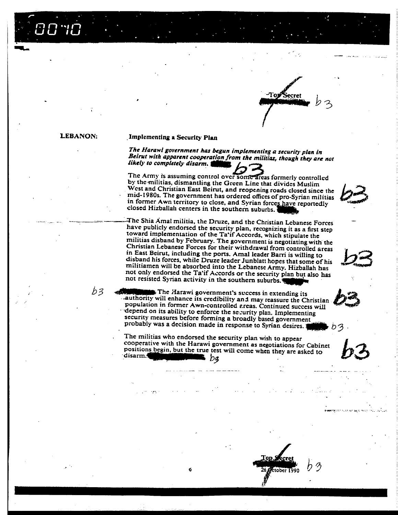-Torf ecrei

**LEBANON:** 

b3

#### Implementing a Security Plan

The Harawi government has begun implementing a security plan in Beirut with apparent cooperation from the militias, though they are not likely to completely disarm.

The Army is assuming control over some areas formerly controlled by the militias, dismantling the Green Line that divides Muslim West and Christian East Beirut, and reopening roads closed since the mid-1980s. The government has ordered offices of pro-Syrian militias in former Awn territory to close, and Syrian forces have reportedly closed Hizballah centers in the southern suburbs.

The Shia Amal militia, the Druze, and the Christian Lebanese Forces have publicly endorsed the security plan, recognizing it as a first step toward implementation of the Ta'if Accords, which stipulate the militias disband by February. The government is negotiating with the Christian Lebanese Forces for their withdrawal from controlled areas in East Beirut, including the ports. Amal leader Barri is willing to disband his forces, while Druze leader Junblatt hopes that some of his militiamen will be absorbed into the Lebanese Army. Hizballah has not only endorsed the Ta'if Accords or the security plan but also has not resisted Syrian activity in the southern suburbs.

The Harawi government's success in extending its authority will enhance its credibility and may reassure the Christian population in former Awn-controlled areas. Continued success will depend on its ability to enforce the security plan. Implementing security measures before forming a broadly based government probably was a decision made in response to Syrian desires.

The militias who endorsed the security plan wish to appear cooperative with the Harawi government as negotiations for Cabinet positions begin, but the true test will come when they are asked to disarm.4 i  $b$ 3

<u>ali i lihinda maso ya mutu wa mashara</u>

Line Street



צים

ttober 1990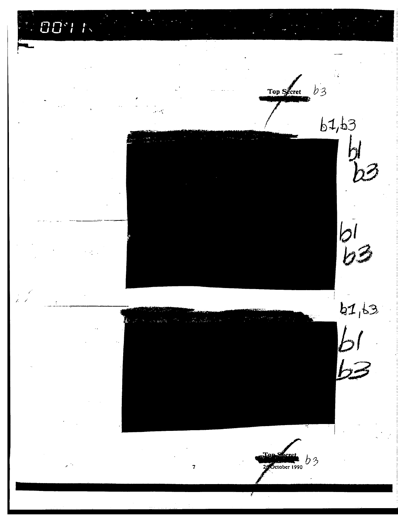**887** 

 $\frac{1}{1}$ 



 $\overline{\mathbf{z}}$ 



Top Secret b3

 $b1, b3$ 

 $\frac{1}{2}$ 

 $b1, b3$ 

 $b1$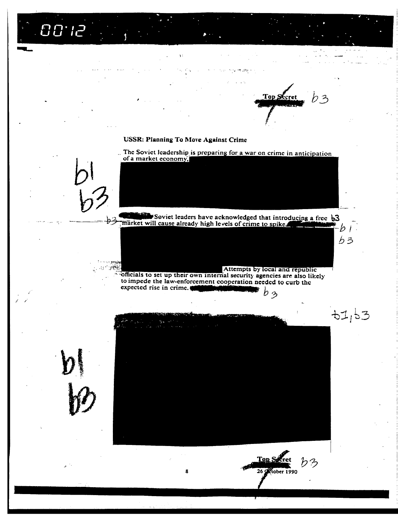$00$ 'ia

₽З

Top Sccret りろ

-61.  $b3$ 

 $61,63$ 

#### **USSR: Planning To Move Against Crime**

.. The Soviet leadership is preparing for a war on crime in anticipation of a market economy.

Soviet leaders have acknowledged that introducing a free b3 market will cause already high levels of crime to spike.

Attempts by local and republic officials to set up their own internal security agencies are also likely to impede the law-enforcement cooperation needed to curb the expected rise in crime.  $b_{3}$ 



Riober 1990 8 26 G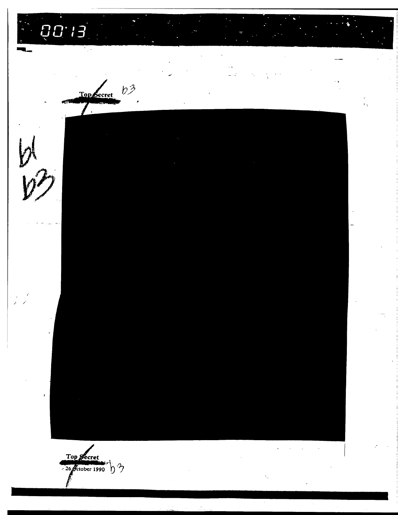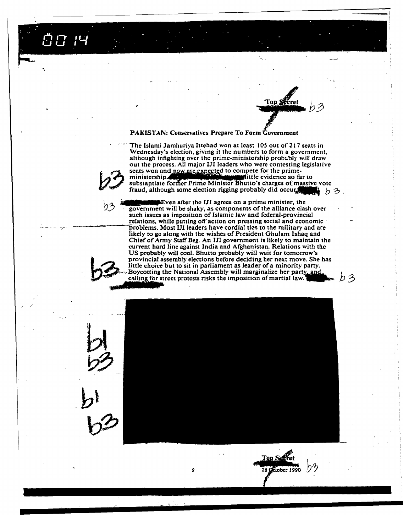Ö0 14

# Top SSR

りろ

#### **PAKISTAN: Conservatives Prepare To Form Government**

The Islami Jamhuriya Ittehad won at least 105 out of 217 seats in Wednesday's election, giving it the numbers to form a government, although infighting over the prime-ministership probably will draw out the process. All major IJI leaders who were contesting legislative seats won and now are expected to compete for the primemittle evidence so far to ministership substantiate former Prime Minister Bhutto's charges of massive vote fraud, although some election rigging probably did occur. ▶ ゟ彡.

such issues as imposition of Islamic law and federal-provincial relations, while putting off action on pressing social and economic problems. Most III leaders have cordial ties to the military and are likely to go along with the wishes of President Ghulam Ishaq and Chief of Army Staff Beg. An IJI government is likely to maintain the current hard line against India and Afghanistan. Relations with the US probably will cool. Bhutto probably will wait for tomorrow's provincial assembly elections before deciding her next move. She has little choice but to sit in parliament as leader of a minority party. Boycotting the National Assembly will marginalize her party, and calling for street protests risks the imposition of martial law.

Even after the IJI agrees on a prime minister, the government will be shaky, as components of the alliance clash over

9

Top Servet 26 Gelober 1990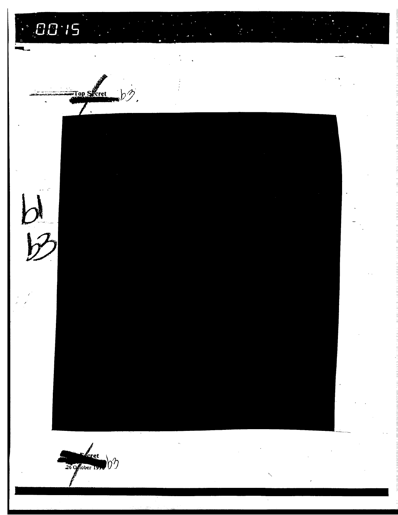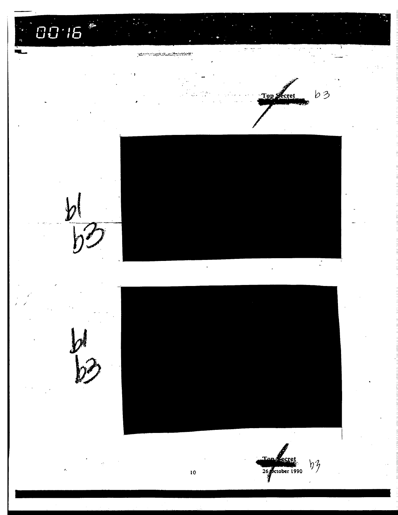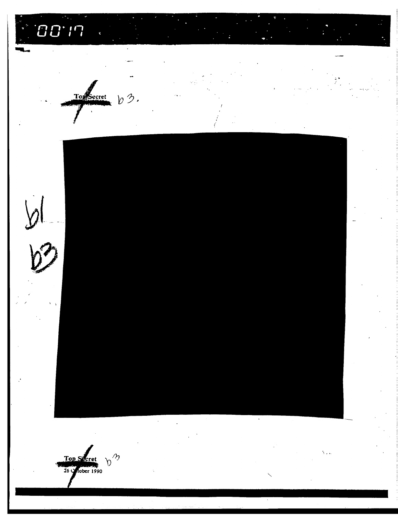$100.17$  $\ddot{\mathbf{r}}$ TopSecret  $b3.$  $\sqrt{2}$ س<br>پر  $b^{\prime\prime}$  $\mathcal{L}$ Top Secret<br>26 Mober 1990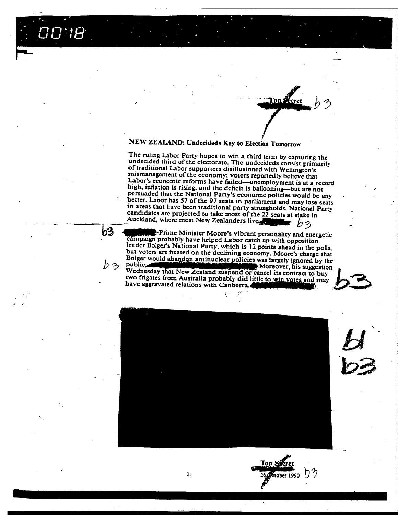## $\overline{G}\overline{G^*}\overline{I}\overline{B}$

b3

りろ

### NEW ZEALAND: Undecideds Key to Election Tomorrow

The ruling Labor Party hopes to win a third term by capturing the undecided third of the electorate. The undecideds consist primarily of traditional Labor supporters disillusioned with Wellington's mismanagement of the economy; voters reportedly believe that Labor's economic reforms have failed—unemployment is at a record high, inflation is rising, and the deficit is ballooning-but are not persuaded that the National Party's economic policies would be any better. Lebor has 57 of the 97 seats in parliament and may lose seats in areas that have been traditional party strongholds. National Party candidates are projected to take most of the 22 seats at stake in Auckland, where most New Zealanders live りろ

**Conj** 

Prime Minister Moore's vibrant personality and energetic campaign probably have helped Labor catch up with opposition leader Bolger's National Party, which is 12 points ahead in the polls, but voters are fixated on the declining economy. Moore's charge that Bolger would abandon antinuclear policies was largely ignored by the public, **comparison that New Zealand suspend or cancel its contract to buy**<br>Wednesday that New Zealand suspend or cancel its contract to buy Moreover, his suggestion

two frigates from Australia probably did little to win votes and may have aggravated relations with Canberra.



**Top Secret** 

 $26$  etcober 1990  $\bigcup$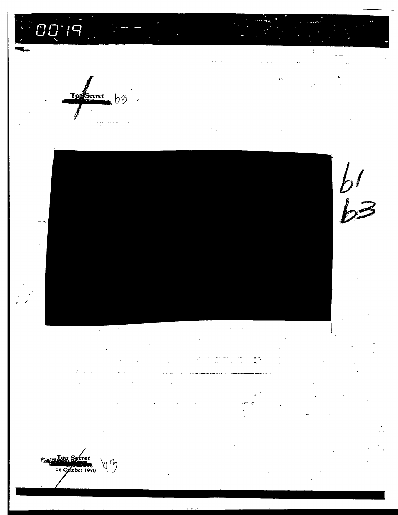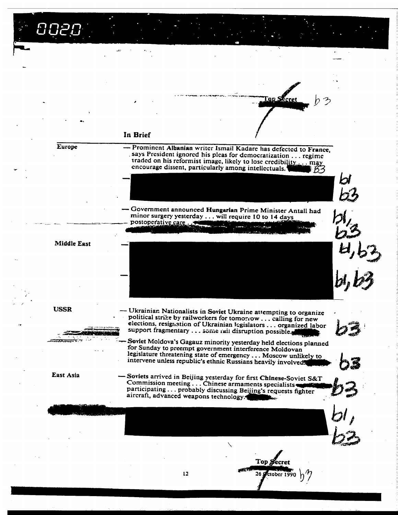いにに Tap Secret In Brief - Prominent Albanian writer Ismail Kadare has defected to France, **Europe** says President ignored his pleas for democratization . . . regime traded on his reformist image, likely to lose credibility..... may encourage dissent, particularly among intellectuals.<sup>4</sup> 1 B3 - Government announced Hungarian Prime Minister Antall had minor surgery yesterday . . . will require 10 to 14 days postoperative care **Contract Construction Middle East USSR** - Ukrainian Nationalists in Soviet Ukraine attempting to organize political strike by railworkers for tomorrow . . . calling for new elections, resignation of Ukrainian legislators ... organized labor support fragmentary ... some rail disruption possible. Soviet Moldova's Gagauz minority yesterday held elections planned *<u>CONTRACTORY</u>* for Sunday to preempt government interference Moldovan legislature threatening state of emergency ... Moscow unlikely to intervene unless republic's ethnic Russians heavily involved.

East Asia

Soviets arrived in Beijing yesterday for first Chinese-Soviet S&T Commission meeting . . . Chinese armaments specialists participating ... probably discussing Beijing's requests fighter aircraft, advanced weapons technology.

 $12<sub>1</sub>$ 

Top Secret ttober 1990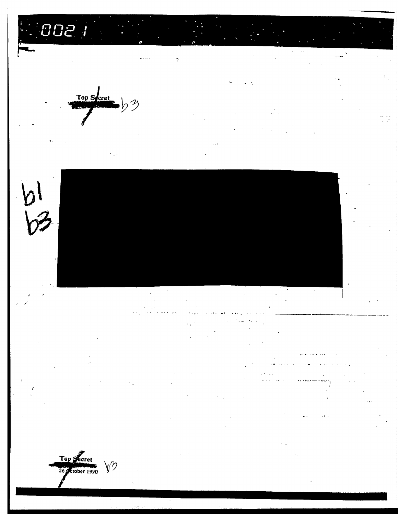



Top<br>26 Secret  $\backslash\!\!\!y\mathfrak{\mathfrak{D}}$ 

 $\bm{\mathcal{V}}$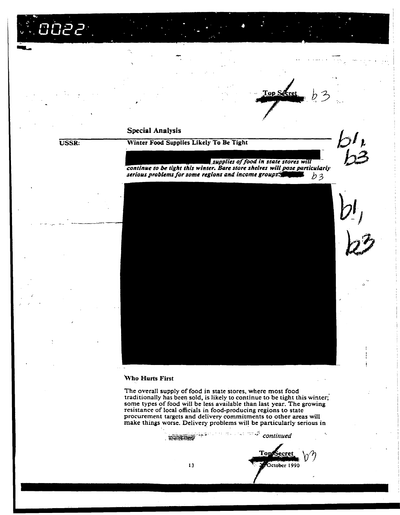aean

#### **Special Analysis**

#### **USSR:**

Winter Food Supplies Likely To Be Tight

supplies of food in state stores will

Top Secre



continue to be tight this winter. Bare store shelves will pose particularly serious problems for some regions and income groups.  $b3$ 

#### Who Hurts First

The overall supply of food in state stores, where most food traditionally has been sold, is likely to continue to be tight this winter; some types of food will be less available than last year. The growing resistance of local officials in food-producing regions to state procurement targets and delivery commitments to other areas will make things worse. Delivery problems will be particularly serious in

 $\mathbb{R}^{1 \times 1 \times 1}$  continued **SOUTH OF THE OWNER** 

Tons October 1990

13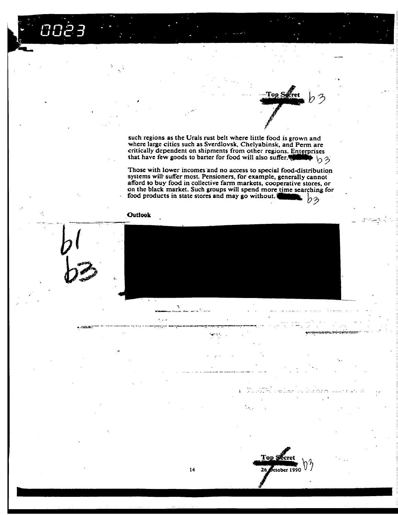such regions as the Urals rust belt where little food is grown and where large cities such as Sverdlovsk, Chelyabinsk, and Perm are critically dependent on shipments from other regions. Enterprises<br>that have few goods to barter for food will also suffer. ➡ んろ

 $\mathbf{Top}\mathop{S}\nolimits$ 

Top \$

26

ctober 1990

Those with lower incomes and no access to special food-distribution<br>systems will suffer most. Pensioners, for example, generally cannot afford to buy food in collective farm markets, cooperative stores, or on the black market. Such groups will spend more time searching for food products in state stores and may go without. りう



 $\sum_{i=1}^{n}$ 

 $14$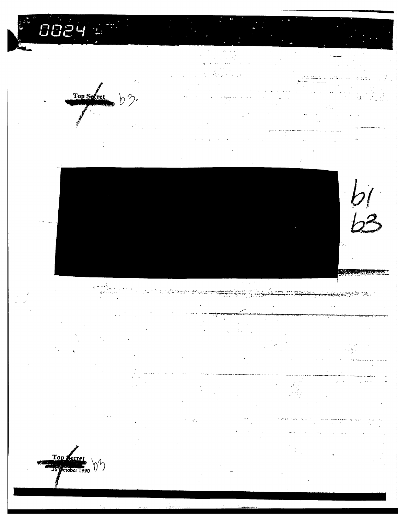